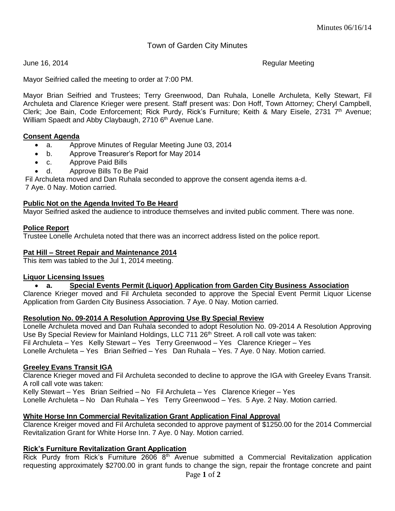# Town of Garden City Minutes

June 16, 2014 **Alternative Contract Contract Contract Contract Contract Contract Contract Contract Contract Contract Contract Contract Contract Contract Contract Contract Contract Contract Contract Contract Contract Contra** 

Mayor Seifried called the meeting to order at 7:00 PM.

Mayor Brian Seifried and Trustees; Terry Greenwood, Dan Ruhala, Lonelle Archuleta, Kelly Stewart, Fil Archuleta and Clarence Krieger were present. Staff present was: Don Hoff, Town Attorney; Cheryl Campbell, Clerk; Joe Bain, Code Enforcement; Rick Purdy, Rick's Furniture; Keith & Mary Eisele, 2731 7<sup>th</sup> Avenue; William Spaedt and Abby Claybaugh, 2710 6<sup>th</sup> Avenue Lane.

## **Consent Agenda**

- a. Approve Minutes of Regular Meeting June 03, 2014
- b. Approve Treasurer's Report for May 2014
- c. Approve Paid Bills
- d. Approve Bills To Be Paid

Fil Archuleta moved and Dan Ruhala seconded to approve the consent agenda items a-d.

7 Aye. 0 Nay. Motion carried.

## **Public Not on the Agenda Invited To Be Heard**

Mayor Seifried asked the audience to introduce themselves and invited public comment. There was none.

## **Police Report**

Trustee Lonelle Archuleta noted that there was an incorrect address listed on the police report.

## **Pat Hill – Street Repair and Maintenance 2014**

This item was tabled to the Jul 1, 2014 meeting.

#### **Liquor Licensing Issues**

#### **a. Special Events Permit (Liquor) Application from Garden City Business Association**

Clarence Krieger moved and Fil Archuleta seconded to approve the Special Event Permit Liquor License Application from Garden City Business Association. 7 Aye. 0 Nay. Motion carried.

#### **Resolution No. 09-2014 A Resolution Approving Use By Special Review**

Lonelle Archuleta moved and Dan Ruhala seconded to adopt Resolution No. 09-2014 A Resolution Approving Use By Special Review for Mainland Holdings, LLC 711 26<sup>th</sup> Street. A roll call vote was taken: Fil Archuleta – Yes Kelly Stewart – Yes Terry Greenwood – Yes Clarence Krieger – Yes Lonelle Archuleta – Yes Brian Seifried – Yes Dan Ruhala – Yes. 7 Aye. 0 Nay. Motion carried.

#### **Greeley Evans Transit IGA**

Clarence Krieger moved and Fil Archuleta seconded to decline to approve the IGA with Greeley Evans Transit. A roll call vote was taken:

Kelly Stewart – Yes Brian Seifried – No Fil Archuleta – Yes Clarence Krieger – Yes Lonelle Archuleta – No Dan Ruhala – Yes Terry Greenwood – Yes. 5 Aye. 2 Nay. Motion carried.

# **White Horse Inn Commercial Revitalization Grant Application Final Approval**

Clarence Kreiger moved and Fil Archuleta seconded to approve payment of \$1250.00 for the 2014 Commercial Revitalization Grant for White Horse Inn. 7 Aye. 0 Nay. Motion carried.

# **Rick's Furniture Revitalization Grant Application**

Rick Purdy from Rick's Furniture 2606 8<sup>th</sup> Avenue submitted a Commercial Revitalization application requesting approximately \$2700.00 in grant funds to change the sign, repair the frontage concrete and paint